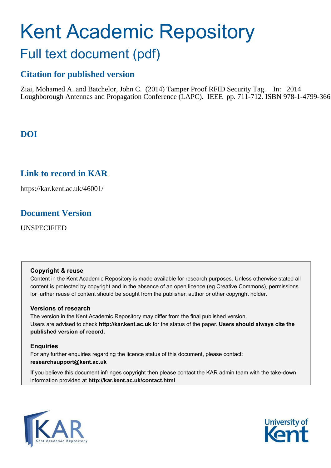# Kent Academic Repository Full text document (pdf)

## **Citation for published version**

Ziai, Mohamed A. and Batchelor, John C. (2014) Tamper Proof RFID Security Tag. In: 2014 Loughborough Antennas and Propagation Conference (LAPC). IEEE pp. 711-712. ISBN 978-1-4799-366

## **DOI**

## **Link to record in KAR**

https://kar.kent.ac.uk/46001/

## **Document Version**

UNSPECIFIED

### **Copyright & reuse**

Content in the Kent Academic Repository is made available for research purposes. Unless otherwise stated all content is protected by copyright and in the absence of an open licence (eg Creative Commons), permissions for further reuse of content should be sought from the publisher, author or other copyright holder.

### **Versions of research**

The version in the Kent Academic Repository may differ from the final published version. Users are advised to check **http://kar.kent.ac.uk** for the status of the paper. **Users should always cite the published version of record.**

### **Enquiries**

For any further enquiries regarding the licence status of this document, please contact: **researchsupport@kent.ac.uk**

If you believe this document infringes copyright then please contact the KAR admin team with the take-down information provided at **http://kar.kent.ac.uk/contact.html**



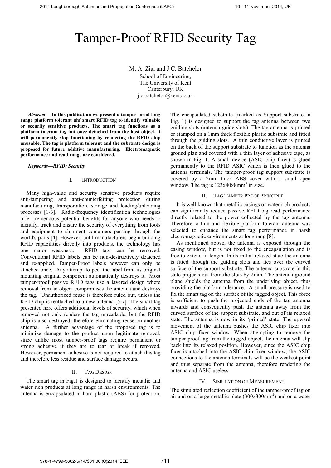## Tamper-Proof RFID Security Tag

M. A. Ziai and J.C. Batchelor School of Engineering, The University of Kent Canterbury, UK j.c.batchelor@kent.ac.uk

*Abstract*— In this publication we present a tamper-proof long **range platform tolerant uhf smart RFID tag to identify valuable or security sensitive products. The smart tag functions as a platform tolerant tag but once detached from the host object, it will permanently stop functioning by rendering the RFID chip unusable. The tag is platform tolerant and the substrate design is proposed for future additive manufacturing. Electromagnetic performance and read range are considered.** 

Keywords-RFID; Security

### I. INTRODUCTION

 Many high-value and security sensitive products require anti-tampering and anti-counterfeiting protection during manufacturing, transportation, storage and loading/unloading processes [1-3]. Radio-frequency identification technologies offer tremendous potential benefits for anyone who needs to identify, track and ensure the security of everything from tools and equipment to shipment containers passing through the world's ports [4]. However, until manufacturers begin building RFID capabilities directly into products, the technology has one major weakness: RFID tags can be removed. Conventional RFID labels can be non-destructively detached and re-applied. Tamper-Proof labels however can only be attached once. Any attempt to peel the label from its original mounting original component automatically destroys it. Most tamper-proof passive RFID tags use a layered design where removal from an object compromises the antenna and destroys the tag. Unauthorized reuse is therefore ruled out, unless the RFID chip is reattached to a new antenna [5-7]. The smart tag presented here offers additional levels of security, which when removed not only renders the tag unreadable, but the RFID chip is also destroyed, therefore eliminating reuse on another antenna. A further advantage of the proposed tag is to minimize damage to the product upon legitimate removal, since unlike most tamper-proof tags require permanent or strong adhesive if they are to tear or break if removed. However, permanent adhesive is not required to attach this tag and therefore less residue and surface damage occurs.

### II. TAG DESIGN

The smart tag in Fig.1 is designed to identify metallic and water rich products at long range in harsh environments. The antenna is encapsulated in hard plastic (ABS) for protection.

The encapsulated substrate (marked as Support substrate in Fig. 1) is designed to support the tag antenna between two guiding slots (antenna guide slots). The tag antenna is printed or stamped on a 1mm thick flexible plastic substrate and fitted through the guiding slots. A thin conductive layer is printed on the back of the support substrate to function as the antenna ground plan and covered with a thin layer of adhesive tape, as shown in Fig. 1. A small device (ASIC chip fixer) is glued permanently to the RFID ASIC which is then glued to the antenna terminals. The tamper-proof tag support substrate is covered by a 2mm thick ABS cover with a small open window. The tag is  $123x40x8mm^3$  in size.

### III. TAG TAMPER PROOF PRINCIPLE

It is well known that metallic casings or water rich products can significantly reduce passive RFID tag read performance directly related to the power collected by the tag antenna. Therefore, a thin and flexible platform tolerant antenna was selected to enhance the smart tag performance in harsh electromagnetic environments at long rang [8].

As mentioned above, the antenna is exposed through the casing window, but is not fixed to the encapsulation and is free to extend in length. In its initial relaxed state the antenna is fitted through the guiding slots and lies over the curved surface of the support substrate. The antenna substrate in this state projects out from the slots by 2mm. The antenna ground plane shields the antenna from the underlying object, thus providing the platform tolerance. A small pressure is used to fix the smart tag on the surface of the tagged object. This force is sufficient to push the projected ends of the tag antenna inwards and consequently push the antenna away from the curved surface of the support substrate, and out of its relaxed state. The antenna is now in its 'primed' state. The upward movement of the antenna pushes the ASIC chip fixer into ASIC chip fixer window. When attempting to remove the tamper-proof tag from the tagged object, the antenna will slip back into its relaxed position. However, since the ASIC chip fixer is attached into the ASIC chip fixer window, the ASIC connections to the antenna terminals will be the weakest point and thus separate from the antenna, therefore rendering the antenna and ASIC useless.

### IV. SIMULATION OR MEASUREMENT

The simulated reflection coefficient of the tamper-proof tag on air and on a large metallic plate  $(300x300mm^2)$  and on a water